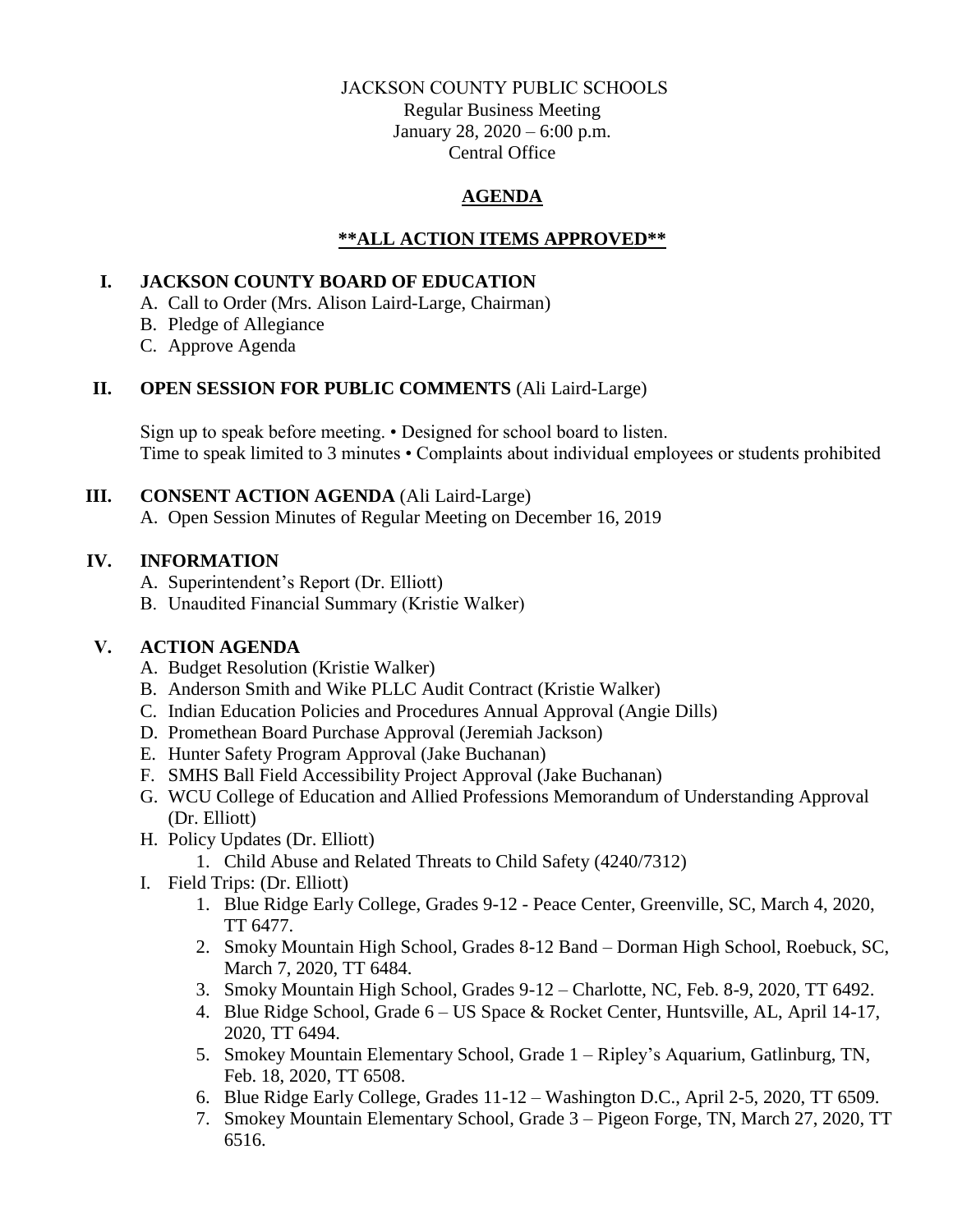### JACKSON COUNTY PUBLIC SCHOOLS

Regular Business Meeting January 28, 2020 – 6:00 p.m. Central Office

# **AGENDA**

# **\*\*ALL ACTION ITEMS APPROVED\*\***

## **I. JACKSON COUNTY BOARD OF EDUCATION**

- A. Call to Order (Mrs. Alison Laird-Large, Chairman)
- B. Pledge of Allegiance
- C. Approve Agenda

# **II. OPEN SESSION FOR PUBLIC COMMENTS** (Ali Laird-Large)

Sign up to speak before meeting. • Designed for school board to listen. Time to speak limited to 3 minutes • Complaints about individual employees or students prohibited

### **III. CONSENT ACTION AGENDA** (Ali Laird-Large)

A. Open Session Minutes of Regular Meeting on December 16, 2019

# **IV. INFORMATION**

- A. Superintendent's Report (Dr. Elliott)
- B. Unaudited Financial Summary (Kristie Walker)

# **V. ACTION AGENDA**

- A. Budget Resolution (Kristie Walker)
- B. Anderson Smith and Wike PLLC Audit Contract (Kristie Walker)
- C. Indian Education Policies and Procedures Annual Approval (Angie Dills)
- D. Promethean Board Purchase Approval (Jeremiah Jackson)
- E. Hunter Safety Program Approval (Jake Buchanan)
- F. SMHS Ball Field Accessibility Project Approval (Jake Buchanan)
- G. WCU College of Education and Allied Professions Memorandum of Understanding Approval (Dr. Elliott)
- H. Policy Updates (Dr. Elliott)
	- 1. Child Abuse and Related Threats to Child Safety (4240/7312)
- I. Field Trips: (Dr. Elliott)
	- 1. Blue Ridge Early College, Grades 9-12 Peace Center, Greenville, SC, March 4, 2020, TT 6477.
	- 2. Smoky Mountain High School, Grades 8-12 Band Dorman High School, Roebuck, SC, March 7, 2020, TT 6484.
	- 3. Smoky Mountain High School, Grades 9-12 Charlotte, NC, Feb. 8-9, 2020, TT 6492.
	- 4. Blue Ridge School, Grade 6 US Space & Rocket Center, Huntsville, AL, April 14-17, 2020, TT 6494.
	- 5. Smokey Mountain Elementary School, Grade 1 Ripley's Aquarium, Gatlinburg, TN, Feb. 18, 2020, TT 6508.
	- 6. Blue Ridge Early College, Grades 11-12 Washington D.C., April 2-5, 2020, TT 6509.
	- 7. Smokey Mountain Elementary School, Grade 3 Pigeon Forge, TN, March 27, 2020, TT 6516.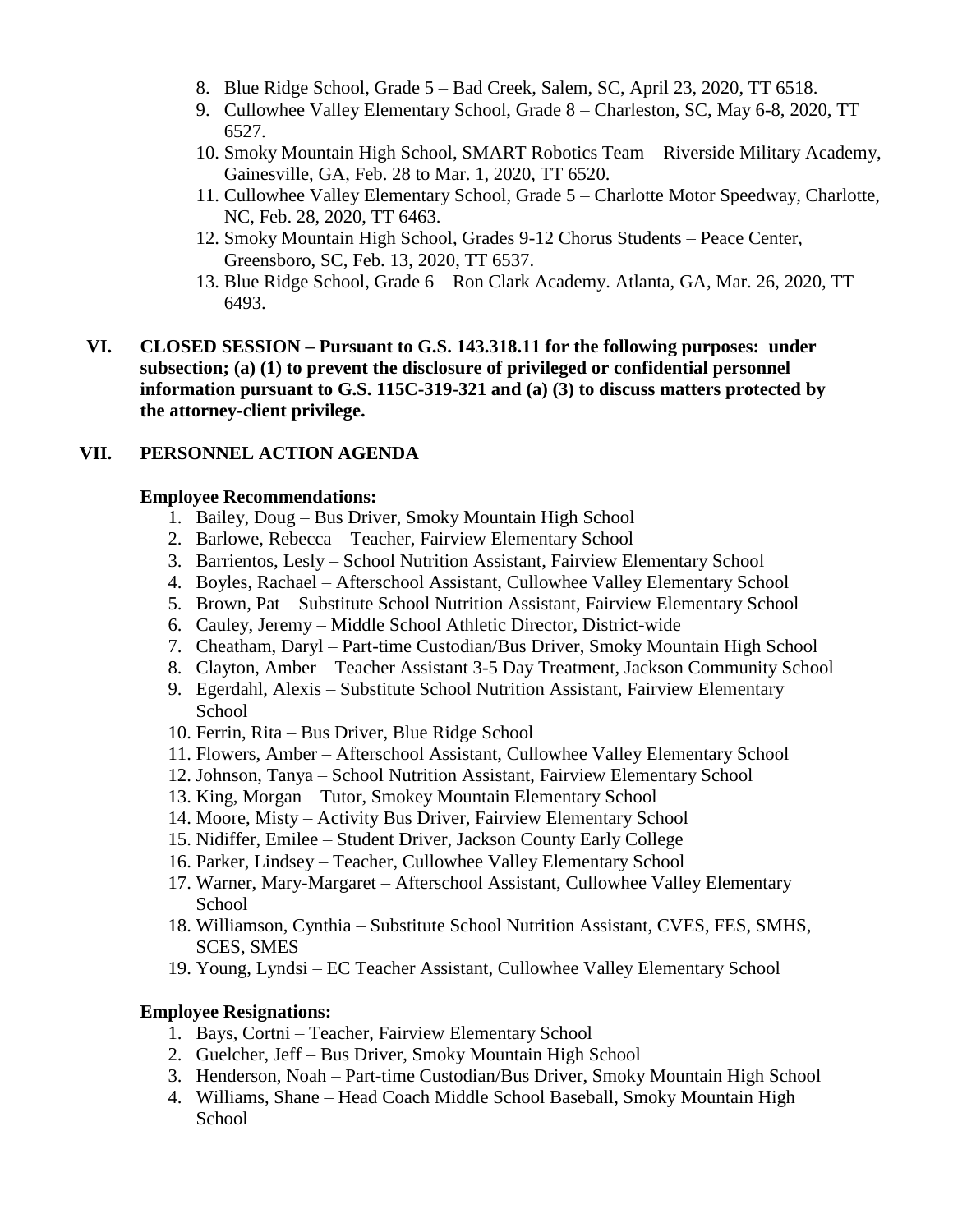- 8. Blue Ridge School, Grade 5 Bad Creek, Salem, SC, April 23, 2020, TT 6518.
- 9. Cullowhee Valley Elementary School, Grade 8 Charleston, SC, May 6-8, 2020, TT 6527.
- 10. Smoky Mountain High School, SMART Robotics Team Riverside Military Academy, Gainesville, GA, Feb. 28 to Mar. 1, 2020, TT 6520.
- 11. Cullowhee Valley Elementary School, Grade 5 Charlotte Motor Speedway, Charlotte, NC, Feb. 28, 2020, TT 6463.
- 12. Smoky Mountain High School, Grades 9-12 Chorus Students Peace Center, Greensboro, SC, Feb. 13, 2020, TT 6537.
- 13. Blue Ridge School, Grade 6 Ron Clark Academy. Atlanta, GA, Mar. 26, 2020, TT 6493.
- **VI. CLOSED SESSION – Pursuant to G.S. 143.318.11 for the following purposes: under subsection; (a) (1) to prevent the disclosure of privileged or confidential personnel information pursuant to G.S. 115C-319-321 and (a) (3) to discuss matters protected by the attorney-client privilege.**

### **VII. PERSONNEL ACTION AGENDA**

### **Employee Recommendations:**

- 1. Bailey, Doug Bus Driver, Smoky Mountain High School
- 2. Barlowe, Rebecca Teacher, Fairview Elementary School
- 3. Barrientos, Lesly School Nutrition Assistant, Fairview Elementary School
- 4. Boyles, Rachael Afterschool Assistant, Cullowhee Valley Elementary School
- 5. Brown, Pat Substitute School Nutrition Assistant, Fairview Elementary School
- 6. Cauley, Jeremy Middle School Athletic Director, District-wide
- 7. Cheatham, Daryl Part-time Custodian/Bus Driver, Smoky Mountain High School
- 8. Clayton, Amber Teacher Assistant 3-5 Day Treatment, Jackson Community School
- 9. Egerdahl, Alexis Substitute School Nutrition Assistant, Fairview Elementary School
- 10. Ferrin, Rita Bus Driver, Blue Ridge School
- 11. Flowers, Amber Afterschool Assistant, Cullowhee Valley Elementary School
- 12. Johnson, Tanya School Nutrition Assistant, Fairview Elementary School
- 13. King, Morgan Tutor, Smokey Mountain Elementary School
- 14. Moore, Misty Activity Bus Driver, Fairview Elementary School
- 15. Nidiffer, Emilee Student Driver, Jackson County Early College
- 16. Parker, Lindsey Teacher, Cullowhee Valley Elementary School
- 17. Warner, Mary-Margaret Afterschool Assistant, Cullowhee Valley Elementary School
- 18. Williamson, Cynthia Substitute School Nutrition Assistant, CVES, FES, SMHS, SCES, SMES
- 19. Young, Lyndsi EC Teacher Assistant, Cullowhee Valley Elementary School

### **Employee Resignations:**

- 1. Bays, Cortni Teacher, Fairview Elementary School
- 2. Guelcher, Jeff Bus Driver, Smoky Mountain High School
- 3. Henderson, Noah Part-time Custodian/Bus Driver, Smoky Mountain High School
- 4. Williams, Shane Head Coach Middle School Baseball, Smoky Mountain High **School**